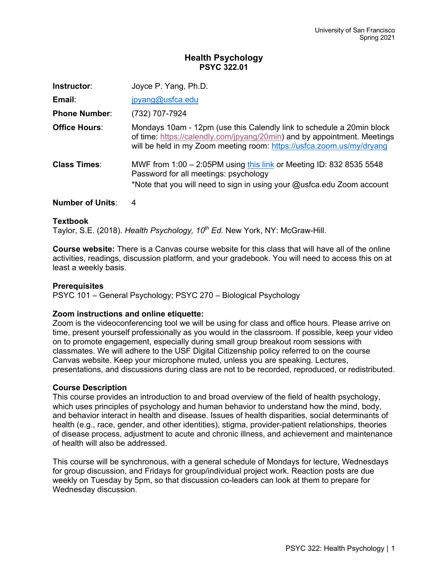# **Health Psychology PSYC 322.01**

| Instructor:          | Joyce P. Yang, Ph.D.                                                                                                                                                                                                       |
|----------------------|----------------------------------------------------------------------------------------------------------------------------------------------------------------------------------------------------------------------------|
| Email:               | jpyang@usfca.edu                                                                                                                                                                                                           |
| <b>Phone Number:</b> | (732) 707-7924                                                                                                                                                                                                             |
| <b>Office Hours:</b> | Mondays 10am - 12pm (use this Calendly link to schedule a 20min block<br>of time: https://calendly.com/jpyang/20min) and by appointment. Meetings<br>will be held in my Zoom meeting room: https://usfca.zoom.us/my/dryang |
| <b>Class Times:</b>  | MWF from 1:00 - 2:05PM using this link or Meeting ID: 832 8535 5548<br>Password for all meetings: psychology<br>*Note that you will need to sign in using your @usfca.edu Zoom account                                     |
|                      |                                                                                                                                                                                                                            |

# **Number of Units**: 4

## **Textbook**

Taylor, S.E. (2018). *Health Psychology, 10<sup>th</sup> Ed.* New York, NY: McGraw-Hill.

**Course website:** There is a Canvas course website for this class that will have all of the online activities, readings, discussion platform, and your gradebook. You will need to access this on at least a weekly basis.

## **Prerequisites**

PSYC 101 – General Psychology; PSYC 270 – Biological Psychology

### **Zoom instructions and online etiquette:**

Zoom is the videoconferencing tool we will be using for class and office hours. Please arrive on time, present yourself professionally as you would in the classroom. If possible, keep your video on to promote engagement, especially during small group breakout room sessions with classmates. We will adhere to the USF Digital Citizenship policy referred to on the course Canvas website. Keep your microphone muted, unless you are speaking. Lectures, presentations, and discussions during class are not to be recorded, reproduced, or redistributed.

### **Course Description**

This course provides an introduction to and broad overview of the field of health psychology, which uses principles of psychology and human behavior to understand how the mind, body, and behavior interact in health and disease. Issues of health disparities, social determinants of health (e.g., race, gender, and other identities), stigma, provider-patient relationships, theories of disease process, adjustment to acute and chronic illness, and achievement and maintenance of health will also be addressed.

This course will be synchronous, with a general schedule of Mondays for lecture, Wednesdays for group discussion, and Fridays for group/individual project work. Reaction posts are due weekly on Tuesday by 5pm, so that discussion co-leaders can look at them to prepare for Wednesday discussion.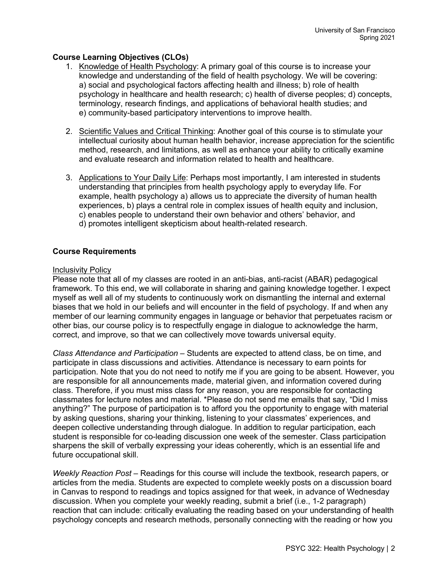# **Course Learning Objectives (CLOs)**

- 1. Knowledge of Health Psychology: A primary goal of this course is to increase your knowledge and understanding of the field of health psychology. We will be covering: a) social and psychological factors affecting health and illness; b) role of health psychology in healthcare and health research; c) health of diverse peoples; d) concepts, terminology, research findings, and applications of behavioral health studies; and e) community-based participatory interventions to improve health.
- 2. Scientific Values and Critical Thinking: Another goal of this course is to stimulate your intellectual curiosity about human health behavior, increase appreciation for the scientific method, research, and limitations, as well as enhance your ability to critically examine and evaluate research and information related to health and healthcare.
- 3. Applications to Your Daily Life: Perhaps most importantly, I am interested in students understanding that principles from health psychology apply to everyday life. For example, health psychology a) allows us to appreciate the diversity of human health experiences, b) plays a central role in complex issues of health equity and inclusion, c) enables people to understand their own behavior and others' behavior, and d) promotes intelligent skepticism about health-related research.

## **Course Requirements**

### Inclusivity Policy

Please note that all of my classes are rooted in an anti-bias, anti-racist (ABAR) pedagogical framework. To this end, we will collaborate in sharing and gaining knowledge together. I expect myself as well all of my students to continuously work on dismantling the internal and external biases that we hold in our beliefs and will encounter in the field of psychology. If and when any member of our learning community engages in language or behavior that perpetuates racism or other bias, our course policy is to respectfully engage in dialogue to acknowledge the harm, correct, and improve, so that we can collectively move towards universal equity.

*Class Attendance and Participation* – Students are expected to attend class, be on time, and participate in class discussions and activities. Attendance is necessary to earn points for participation. Note that you do not need to notify me if you are going to be absent. However, you are responsible for all announcements made, material given, and information covered during class. Therefore, if you must miss class for any reason, you are responsible for contacting classmates for lecture notes and material. \*Please do not send me emails that say, "Did I miss anything?" The purpose of participation is to afford you the opportunity to engage with material by asking questions, sharing your thinking, listening to your classmates' experiences, and deepen collective understanding through dialogue. In addition to regular participation, each student is responsible for co-leading discussion one week of the semester. Class participation sharpens the skill of verbally expressing your ideas coherently, which is an essential life and future occupational skill.

*Weekly Reaction Post* – Readings for this course will include the textbook, research papers, or articles from the media. Students are expected to complete weekly posts on a discussion board in Canvas to respond to readings and topics assigned for that week, in advance of Wednesday discussion. When you complete your weekly reading, submit a brief (i.e., 1-2 paragraph) reaction that can include: critically evaluating the reading based on your understanding of health psychology concepts and research methods, personally connecting with the reading or how you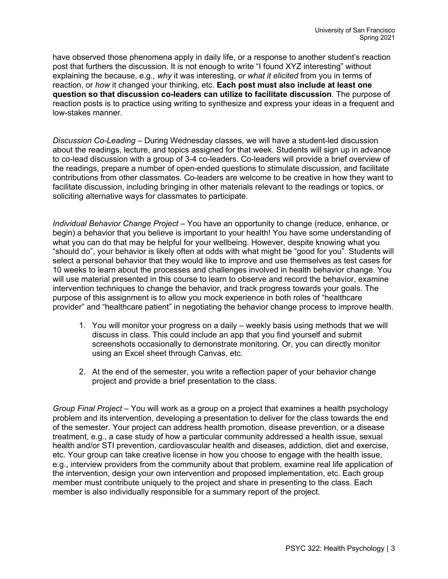have observed those phenomena apply in daily life, or a response to another student's reaction post that furthers the discussion. It is not enough to write "I found XYZ interesting" without explaining the because, e.g., *why* it was interesting, or *what it elicited* from you in terms of reaction, or *how* it changed your thinking, etc. **Each post must also include at least one question so that discussion co-leaders can utilize to facilitate discussion**. The purpose of reaction posts is to practice using writing to synthesize and express your ideas in a frequent and low-stakes manner.

*Discussion Co-Leading –* During Wednesday classes, we will have a student-led discussion about the readings, lecture, and topics assigned for that week. Students will sign up in advance to co-lead discussion with a group of 3-4 co-leaders. Co-leaders will provide a brief overview of the readings, prepare a number of open-ended questions to stimulate discussion, and facilitate contributions from other classmates. Co-leaders are welcome to be creative in how they want to facilitate discussion, including bringing in other materials relevant to the readings or topics, or soliciting alternative ways for classmates to participate.

*Individual Behavior Change Project* – You have an opportunity to change (reduce, enhance, or begin) a behavior that you believe is important to your health! You have some understanding of what you can do that may be helpful for your wellbeing. However, despite knowing what you "should do", your behavior is likely often at odds with what might be "good for you". Students will select a personal behavior that they would like to improve and use themselves as test cases for 10 weeks to learn about the processes and challenges involved in health behavior change. You will use material presented in this course to learn to observe and record the behavior, examine intervention techniques to change the behavior, and track progress towards your goals. The purpose of this assignment is to allow you mock experience in both roles of "healthcare provider" and "healthcare patient" in negotiating the behavior change process to improve health.

- 1. You will monitor your progress on a daily weekly basis using methods that we will discuss in class. This could include an app that you find yourself and submit screenshots occasionally to demonstrate monitoring. Or, you can directly monitor using an Excel sheet through Canvas, etc.
- 2. At the end of the semester, you write a reflection paper of your behavior change project and provide a brief presentation to the class.

*Group Final Project* – You will work as a group on a project that examines a health psychology problem and its intervention, developing a presentation to deliver for the class towards the end of the semester. Your project can address health promotion, disease prevention, or a disease treatment, e.g., a case study of how a particular community addressed a health issue, sexual health and/or STI prevention, cardiovascular health and diseases, addiction, diet and exercise, etc. Your group can take creative license in how you choose to engage with the health issue, e.g., interview providers from the community about that problem, examine real life application of the intervention, design your own intervention and proposed implementation, etc. Each group member must contribute uniquely to the project and share in presenting to the class. Each member is also individually responsible for a summary report of the project.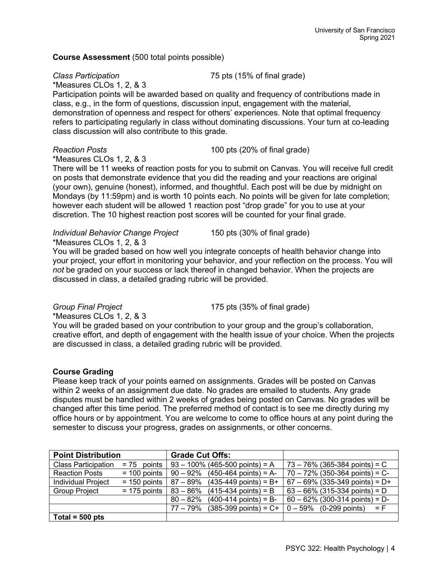## **Course Assessment** (500 total points possible)

*Class Participation* 75 pts (15% of final grade)

\*Measures CLOs 1, 2, & 3

Participation points will be awarded based on quality and frequency of contributions made in class, e.g., in the form of questions, discussion input, engagement with the material, demonstration of openness and respect for others' experiences. Note that optimal frequency refers to participating regularly in class without dominating discussions. Your turn at co-leading class discussion will also contribute to this grade.

## *Reaction Posts* 100 pts (20% of final grade)

\*Measures CLOs 1, 2, & 3

There will be 11 weeks of reaction posts for you to submit on Canvas. You will receive full credit on posts that demonstrate evidence that you did the reading and your reactions are original (your own), genuine (honest), informed, and thoughtful. Each post will be due by midnight on Mondays (by 11:59pm) and is worth 10 points each. No points will be given for late completion; however each student will be allowed 1 reaction post "drop grade" for you to use at your discretion. The 10 highest reaction post scores will be counted for your final grade.

#### *Individual Behavior Change Project* 150 pts (30% of final grade) \*Measures CLOs 1, 2, & 3

You will be graded based on how well you integrate concepts of health behavior change into your project, your effort in monitoring your behavior, and your reflection on the process. You will *not* be graded on your success or lack thereof in changed behavior. When the projects are discussed in class, a detailed grading rubric will be provided.

*Group Final Project* 175 pts (35% of final grade)

\*Measures CLOs 1, 2, & 3

You will be graded based on your contribution to your group and the group's collaboration, creative effort, and depth of engagement with the health issue of your choice. When the projects are discussed in class, a detailed grading rubric will be provided.

# **Course Grading**

Please keep track of your points earned on assignments. Grades will be posted on Canvas within 2 weeks of an assignment due date. No grades are emailed to students. Any grade disputes must be handled within 2 weeks of grades being posted on Canvas. No grades will be changed after this time period. The preferred method of contact is to see me directly during my office hours or by appointment. You are welcome to come to office hours at any point during the semester to discuss your progress, grades on assignments, or other concerns.

| <b>Point Distribution</b>  |                | <b>Grade Cut Offs:</b>                         |                                    |
|----------------------------|----------------|------------------------------------------------|------------------------------------|
| <b>Class Participation</b> | $= 75$ points  | $93 - 100\%$ (465-500 points) = A              | $73 - 76\%$ (365-384 points) = C   |
| <b>Reaction Posts</b>      | $= 100$ points | $90 - 92\%$ (450-464 points) = A-              | $70 - 72\%$ (350-364 points) = C-  |
| <b>Individual Project</b>  | $= 150$ points | $87 - 89\%$ (435-449 points) = B+              | $67 - 69\%$ (335-349 points) = D+  |
| <b>Group Project</b>       | $= 175$ points | $(415-434 \text{ points}) = B$<br>∣ 83 – 86%   | $63 - 66\%$ (315-334 points) = D   |
|                            |                | $(400-414 \text{ points}) = B$ -<br>$80 - 82%$ | $60 - 62\%$ (300-314 points) = D-  |
|                            |                | $(385-399 \text{ points}) = C+$<br>77 – 79%    | $0 - 59\%$ (0-299 points)<br>$=$ F |
| $\vert$ Total = 500 pts    |                |                                                |                                    |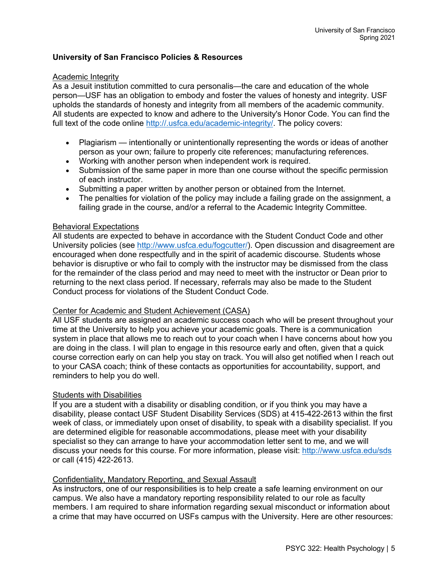# **University of San Francisco Policies & Resources**

### Academic Integrity

As a Jesuit institution committed to cura personalis—the care and education of the whole person—USF has an obligation to embody and foster the values of honesty and integrity. USF upholds the standards of honesty and integrity from all members of the academic community. All students are expected to know and adhere to the University's Honor Code. You can find the full text of the code online http://.usfca.edu/academic-integrity/. The policy covers:

- Plagiarism intentionally or unintentionally representing the words or ideas of another person as your own; failure to properly cite references; manufacturing references.
- Working with another person when independent work is required.
- Submission of the same paper in more than one course without the specific permission of each instructor.
- Submitting a paper written by another person or obtained from the Internet.
- The penalties for violation of the policy may include a failing grade on the assignment, a failing grade in the course, and/or a referral to the Academic Integrity Committee.

#### Behavioral Expectations

All students are expected to behave in accordance with the Student Conduct Code and other University policies (see http://www.usfca.edu/fogcutter/). Open discussion and disagreement are encouraged when done respectfully and in the spirit of academic discourse. Students whose behavior is disruptive or who fail to comply with the instructor may be dismissed from the class for the remainder of the class period and may need to meet with the instructor or Dean prior to returning to the next class period. If necessary, referrals may also be made to the Student Conduct process for violations of the Student Conduct Code.

### Center for Academic and Student Achievement (CASA)

All USF students are assigned an academic success coach who will be present throughout your time at the University to help you achieve your academic goals. There is a communication system in place that allows me to reach out to your coach when I have concerns about how you are doing in the class. I will plan to engage in this resource early and often, given that a quick course correction early on can help you stay on track. You will also get notified when I reach out to your CASA coach; think of these contacts as opportunities for accountability, support, and reminders to help you do well.

### Students with Disabilities

If you are a student with a disability or disabling condition, or if you think you may have a disability, please contact USF Student Disability Services (SDS) at 415-422-2613 within the first week of class, or immediately upon onset of disability, to speak with a disability specialist. If you are determined eligible for reasonable accommodations, please meet with your disability specialist so they can arrange to have your accommodation letter sent to me, and we will discuss your needs for this course. For more information, please visit: http://www.usfca.edu/sds or call (415) 422-2613.

### Confidentiality, Mandatory Reporting, and Sexual Assault

As instructors, one of our responsibilities is to help create a safe learning environment on our campus. We also have a mandatory reporting responsibility related to our role as faculty members. I am required to share information regarding sexual misconduct or information about a crime that may have occurred on USFs campus with the University. Here are other resources: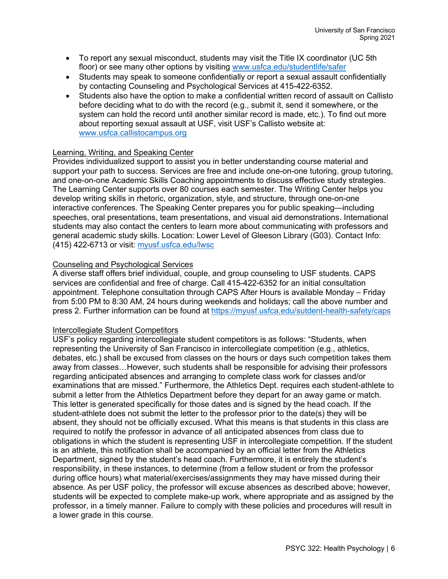- To report any sexual misconduct, students may visit the Title IX coordinator (UC 5th floor) or see many other options by visiting www.usfca.edu/studentlife/safer
- Students may speak to someone confidentially or report a sexual assault confidentially by contacting Counseling and Psychological Services at 415-422-6352.
- Students also have the option to make a confidential written record of assault on Callisto before deciding what to do with the record (e.g., submit it, send it somewhere, or the system can hold the record until another similar record is made, etc.). To find out more about reporting sexual assault at USF, visit USF's Callisto website at: www.usfca.callistocampus.org

# Learning, Writing, and Speaking Center

Provides individualized support to assist you in better understanding course material and support your path to success. Services are free and include one-on-one tutoring, group tutoring, and one-on-one Academic Skills Coaching appointments to discuss effective study strategies. The Learning Center supports over 80 courses each semester. The Writing Center helps you develop writing skills in rhetoric, organization, style, and structure, through one-on-one interactive conferences. The Speaking Center prepares you for public speaking—including speeches, oral presentations, team presentations, and visual aid demonstrations. International students may also contact the centers to learn more about communicating with professors and general academic study skills. Location: Lower Level of Gleeson Library (G03). Contact Info: (415) 422-6713 or visit: myusf.usfca.edu/lwsc

## Counseling and Psychological Services

A diverse staff offers brief individual, couple, and group counseling to USF students. CAPS services are confidential and free of charge. Call 415-422-6352 for an initial consultation appointment. Telephone consultation through CAPS After Hours is available Monday – Friday from 5:00 PM to 8:30 AM, 24 hours during weekends and holidays; call the above number and press 2. Further information can be found at https://myusf.usfca.edu/sutdent-health-safety/caps

### Intercollegiate Student Competitors

USF's policy regarding intercollegiate student competitors is as follows: "Students, when representing the University of San Francisco in intercollegiate competition (e.g., athletics, debates, etc.) shall be excused from classes on the hours or days such competition takes them away from classes…However, such students shall be responsible for advising their professors regarding anticipated absences and arranging to complete class work for classes and/or examinations that are missed." Furthermore, the Athletics Dept. requires each student-athlete to submit a letter from the Athletics Department before they depart for an away game or match. This letter is generated specifically for those dates and is signed by the head coach. If the student-athlete does not submit the letter to the professor prior to the date(s) they will be absent, they should not be officially excused. What this means is that students in this class are required to notify the professor in advance of all anticipated absences from class due to obligations in which the student is representing USF in intercollegiate competition. If the student is an athlete, this notification shall be accompanied by an official letter from the Athletics Department, signed by the student's head coach. Furthermore, it is entirely the student's responsibility, in these instances, to determine (from a fellow student or from the professor during office hours) what material/exercises/assignments they may have missed during their absence. As per USF policy, the professor will excuse absences as described above; however, students will be expected to complete make-up work, where appropriate and as assigned by the professor, in a timely manner. Failure to comply with these policies and procedures will result in a lower grade in this course.